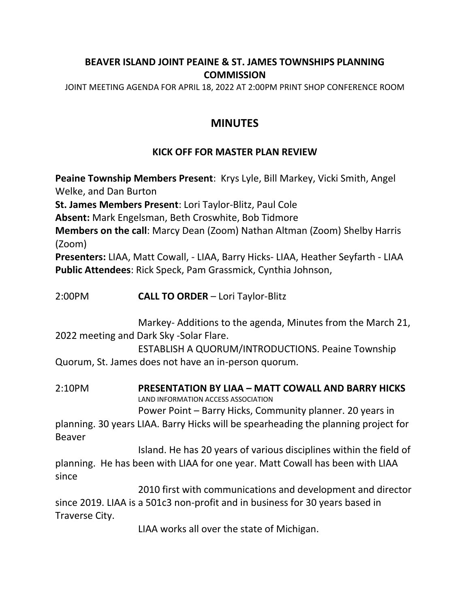## **BEAVER ISLAND JOINT PEAINE & ST. JAMES TOWNSHIPS PLANNING COMMISSION**

JOINT MEETING AGENDA FOR APRIL 18, 2022 AT 2:00PM PRINT SHOP CONFERENCE ROOM

## **MINUTES**

## **KICK OFF FOR MASTER PLAN REVIEW**

**Peaine Township Members Present**: Krys Lyle, Bill Markey, Vicki Smith, Angel Welke, and Dan Burton **St. James Members Present**: Lori Taylor-Blitz, Paul Cole **Absent:** Mark Engelsman, Beth Croswhite, Bob Tidmore **Members on the call**: Marcy Dean (Zoom) Nathan Altman (Zoom) Shelby Harris (Zoom) **Presenters:** LIAA, Matt Cowall, - LIAA, Barry Hicks- LIAA, Heather Seyfarth - LIAA **Public Attendees**: Rick Speck, Pam Grassmick, Cynthia Johnson, 2:00PM **CALL TO ORDER** – Lori Taylor-Blitz Markey- Additions to the agenda, Minutes from the March 21, 2022 meeting and Dark Sky -Solar Flare. ESTABLISH A QUORUM/INTRODUCTIONS. Peaine Township Quorum, St. James does not have an in-person quorum. 2:10PM **PRESENTATION BY LIAA – MATT COWALL AND BARRY HICKS** LAND INFORMATION ACCESS ASSOCIATION Power Point – Barry Hicks, Community planner. 20 years in planning. 30 years LIAA. Barry Hicks will be spearheading the planning project for Beaver Island. He has 20 years of various disciplines within the field of planning. He has been with LIAA for one year. Matt Cowall has been with LIAA

2010 first with communications and development and director since 2019. LIAA is a 501c3 non-profit and in business for 30 years based in Traverse City.

since

LIAA works all over the state of Michigan.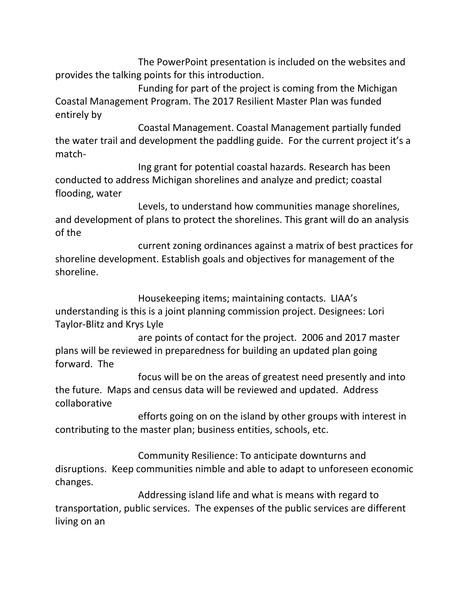The PowerPoint presentation is included on the websites and provides the talking points for this introduction.

Funding for part of the project is coming from the Michigan Coastal Management Program. The 2017 Resilient Master Plan was funded entirely by

Coastal Management. Coastal Management partially funded the water trail and development the paddling guide. For the current project it's a match-

Ing grant for potential coastal hazards. Research has been conducted to address Michigan shorelines and analyze and predict; coastal flooding, water

Levels, to understand how communities manage shorelines, and development of plans to protect the shorelines. This grant will do an analysis of the

current zoning ordinances against a matrix of best practices for shoreline development. Establish goals and objectives for management of the shoreline.

Housekeeping items; maintaining contacts. LIAA's understanding is this is a joint planning commission project. Designees: Lori Taylor-Blitz and Krys Lyle

are points of contact for the project. 2006 and 2017 master plans will be reviewed in preparedness for building an updated plan going forward. The

focus will be on the areas of greatest need presently and into the future. Maps and census data will be reviewed and updated. Address collaborative

efforts going on on the island by other groups with interest in contributing to the master plan; business entities, schools, etc.

Community Resilience: To anticipate downturns and disruptions. Keep communities nimble and able to adapt to unforeseen economic changes.

Addressing island life and what is means with regard to transportation, public services. The expenses of the public services are different living on an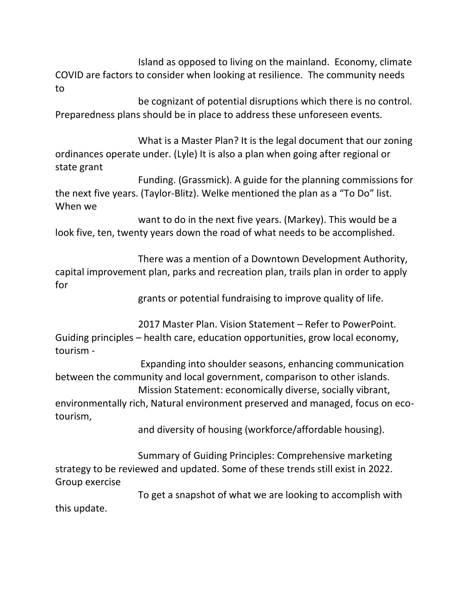Island as opposed to living on the mainland. Economy, climate COVID are factors to consider when looking at resilience. The community needs to

be cognizant of potential disruptions which there is no control. Preparedness plans should be in place to address these unforeseen events.

What is a Master Plan? It is the legal document that our zoning ordinances operate under. (Lyle) It is also a plan when going after regional or state grant

Funding. (Grassmick). A guide for the planning commissions for the next five years. (Taylor-Blitz). Welke mentioned the plan as a "To Do" list. When we

want to do in the next five years. (Markey). This would be a look five, ten, twenty years down the road of what needs to be accomplished.

There was a mention of a Downtown Development Authority, capital improvement plan, parks and recreation plan, trails plan in order to apply for

grants or potential fundraising to improve quality of life.

2017 Master Plan. Vision Statement – Refer to PowerPoint. Guiding principles – health care, education opportunities, grow local economy, tourism -

Expanding into shoulder seasons, enhancing communication between the community and local government, comparison to other islands. Mission Statement: economically diverse, socially vibrant,

environmentally rich, Natural environment preserved and managed, focus on ecotourism,

and diversity of housing (workforce/affordable housing).

Summary of Guiding Principles: Comprehensive marketing strategy to be reviewed and updated. Some of these trends still exist in 2022. Group exercise

To get a snapshot of what we are looking to accomplish with this update.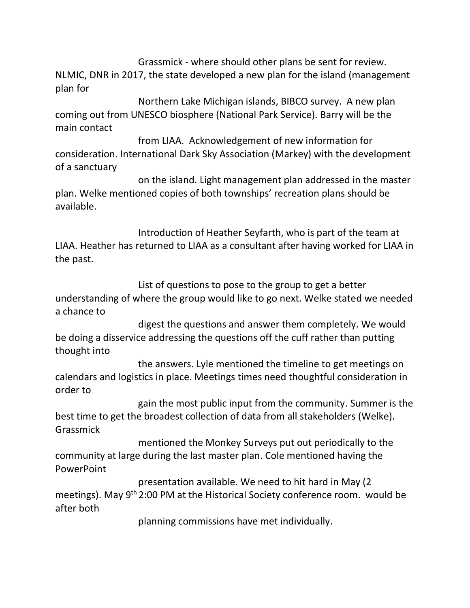Grassmick - where should other plans be sent for review. NLMIC, DNR in 2017, the state developed a new plan for the island (management plan for

Northern Lake Michigan islands, BIBCO survey. A new plan coming out from UNESCO biosphere (National Park Service). Barry will be the main contact

from LIAA. Acknowledgement of new information for consideration. International Dark Sky Association (Markey) with the development of a sanctuary

on the island. Light management plan addressed in the master plan. Welke mentioned copies of both townships' recreation plans should be available.

Introduction of Heather Seyfarth, who is part of the team at LIAA. Heather has returned to LIAA as a consultant after having worked for LIAA in the past.

List of questions to pose to the group to get a better understanding of where the group would like to go next. Welke stated we needed a chance to

digest the questions and answer them completely. We would be doing a disservice addressing the questions off the cuff rather than putting thought into

the answers. Lyle mentioned the timeline to get meetings on calendars and logistics in place. Meetings times need thoughtful consideration in order to

gain the most public input from the community. Summer is the best time to get the broadest collection of data from all stakeholders (Welke). Grassmick

mentioned the Monkey Surveys put out periodically to the community at large during the last master plan. Cole mentioned having the PowerPoint

presentation available. We need to hit hard in May (2 meetings). May 9<sup>th</sup> 2:00 PM at the Historical Society conference room. would be after both

planning commissions have met individually.